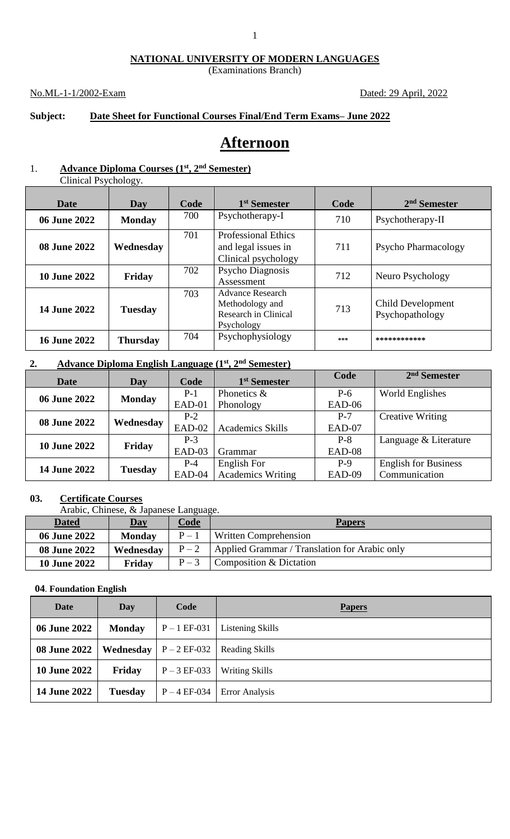### **NATIONAL UNIVERSITY OF MODERN LANGUAGES**

(Examinations Branch)

### No.ML-1-1/2002-Exam Dated: 29 April, 2022

## **Subject: Date Sheet for Functional Courses Final/End Term Exams– June 2022**

# **Afternoon**

# 1. **Advance Diploma Courses (1st, 2nd Semester)**

| <b>Date</b>         | Day             | Code | 1 <sup>st</sup> Semester                                                  | Code | 2 <sup>nd</sup> Semester             |
|---------------------|-----------------|------|---------------------------------------------------------------------------|------|--------------------------------------|
| 06 June 2022        | <b>Monday</b>   | 700  | Psychotherapy-I                                                           | 710  | Psychotherapy-II                     |
| 08 June 2022        | Wednesday       | 701  | <b>Professional Ethics</b><br>and legal issues in<br>Clinical psychology  | 711  | <b>Psycho Pharmacology</b>           |
| <b>10 June 2022</b> | Friday          | 702  | Psycho Diagnosis<br>Assessment                                            | 712  | Neuro Psychology                     |
| <b>14 June 2022</b> | <b>Tuesday</b>  | 703  | Advance Research<br>Methodology and<br>Research in Clinical<br>Psychology | 713  | Child Development<br>Psychopathology |
| <b>16 June 2022</b> | <b>Thursday</b> | 704  | Psychophysiology                                                          | ***  | ************                         |

### **2. Advance Diploma English Language (1st, 2nd Semester)**

| <b>Date</b>         | Day            | Code   | 1 <sup>st</sup> Semester | Code   | $2nd$ Semester              |
|---------------------|----------------|--------|--------------------------|--------|-----------------------------|
| 06 June 2022        | <b>Monday</b>  | $P-1$  | Phonetics $\&$           | $P-6$  | World Englishes             |
|                     |                | EAD-01 | Phonology                | EAD-06 |                             |
| <b>08 June 2022</b> | Wednesday      | $P-2$  |                          | $P-7$  | <b>Creative Writing</b>     |
|                     |                | EAD-02 | <b>Academics Skills</b>  | EAD-07 |                             |
| <b>10 June 2022</b> | Friday         | $P-3$  |                          | $P-8$  | Language & Literature       |
|                     |                | EAD-03 | Grammar                  | EAD-08 |                             |
| <b>14 June 2022</b> | <b>Tuesday</b> | $P-4$  | English For              | $P-9$  | <b>English for Business</b> |
|                     |                | EAD-04 | <b>Academics Writing</b> | EAD-09 | Communication               |

### **03. Certificate Courses**

Arabic, Chinese, & Japanese Language.

| <b>Dated</b>        | <b>Day</b>    | <u>Code</u> | <b>Papers</b>                                 |
|---------------------|---------------|-------------|-----------------------------------------------|
| <b>06 June 2022</b> | <b>Monday</b> | $P-1$       | Written Comprehension                         |
| <b>08 June 2022</b> | Wednesday     | $P-2$       | Applied Grammar / Translation for Arabic only |
| <b>10 June 2022</b> | Friday        | $P-3$       | Composition & Dictation                       |

### **04**. **Foundation English**

| Date                | Day            | Code             | <b>Papers</b>         |
|---------------------|----------------|------------------|-----------------------|
| 06 June 2022        | <b>Monday</b>  | $P - 1 EF - 031$ | Listening Skills      |
| <b>08 June 2022</b> | Wednesday      | $P - 2 EF - 032$ | <b>Reading Skills</b> |
| <b>10 June 2022</b> | Friday         | $P - 3 EF - 033$ | <b>Writing Skills</b> |
| 14 June 2022        | <b>Tuesday</b> | $P - 4 EF - 034$ | <b>Error Analysis</b> |